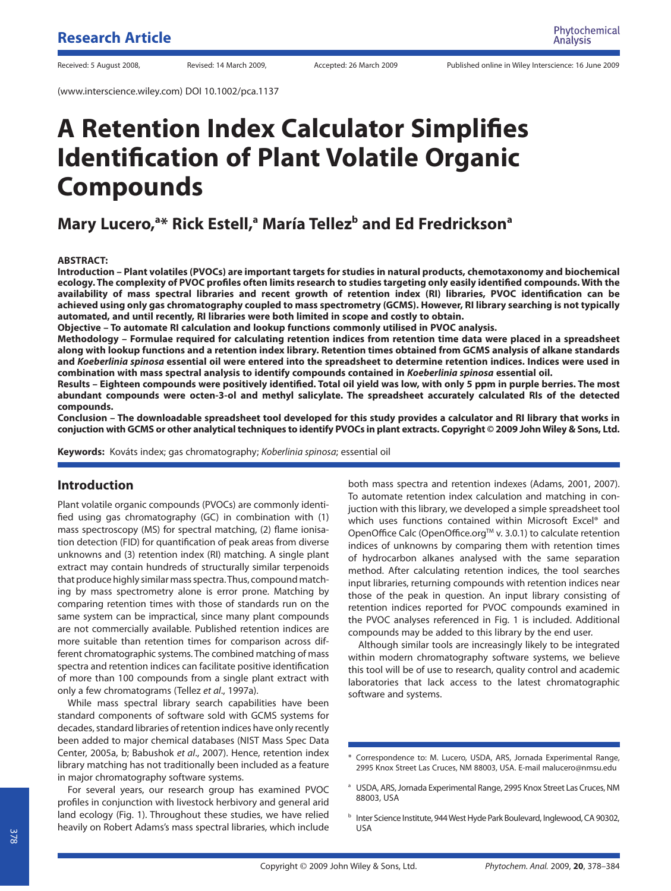(www.interscience.wiley.com) DOI 10.1002/pca.1137

# **A Retention Index Calculator Simplifies Identification of Plant Volatile Organic Compounds**

# **Mary Lucero, <sup>a\*</sup> Rick Estell, a María Tellez<sup>b</sup> and Ed Fredrickson a marrie**

#### **ABSTRACT:**

**Introduction – Plant volatiles (PVOCs) are important targets for studies in natural products, chemotaxonomy and biochemical ecology. The complexity of PVOC profiles often limits research to studies targeting only easily identified compounds. With the availability of mass spectral libraries and recent growth of retention index (RI) libraries, PVOC identification can be achieved using only gas chromatography coupled to mass spectrometry (GCMS). However, RI library searching is not typically automated, and until recently, RI libraries were both limited in scope and costly to obtain.**

**Objective – To automate RI calculation and lookup functions commonly utilised in PVOC analysis.**

**Methodology – Formulae required for calculating retention indices from retention time data were placed in a spreadsheet along with lookup functions and a retention index library. Retention times obtained from GCMS analysis of alkane standards and** *Koeberlinia spinosa* **essential oil were entered into the spreadsheet to determine retention indices. Indices were used in combination with mass spectral analysis to identify compounds contained in** *Koeberlinia spinosa* **essential oil.**

**Results – Eighteen compounds were positively identified. Total oil yield was low, with only 5 ppm in purple berries. The most abundant compounds were octen-3-ol and methyl salicylate. The spreadsheet accurately calculated RIs of the detected compounds.**

**Conclusion – The downloadable spreadsheet tool developed for this study provides a calculator and RI library that works in conjuction with GCMS or other analytical techniques to identify PVOCs in plant extracts. Copyright © 2009 John Wiley & Sons, Ltd.**

**Keywords:** Kováts index; gas chromatography; Koberlinia spinosa; essential oil

## **Introduction**

Plant volatile organic compounds (PVOCs) are commonly identified using gas chromatography (GC) in combination with (1) mass spectroscopy (MS) for spectral matching, (2) flame ionisation detection (FID) for quantification of peak areas from diverse unknowns and (3) retention index (RI) matching. A single plant extract may contain hundreds of structurally similar terpenoids that produce highly similar mass spectra. Thus, compound matching by mass spectrometry alone is error prone. Matching by comparing retention times with those of standards run on the same system can be impractical, since many plant compounds are not commercially available. Published retention indices are more suitable than retention times for comparison across different chromatographic systems. The combined matching of mass spectra and retention indices can facilitate positive identification of more than 100 compounds from a single plant extract with only a few chromatograms (Tellez et al., 1997a).

While mass spectral library search capabilities have been standard components of software sold with GCMS systems for decades, standard libraries of retention indices have only recently been added to major chemical databases (NIST Mass Spec Data Center, 2005a, b; Babushok et al., 2007). Hence, retention index library matching has not traditionally been included as a feature in major chromatography software systems.

For several years, our research group has examined PVOC profiles in conjunction with livestock herbivory and general arid land ecology (Fig. 1). Throughout these studies, we have relied heavily on Robert Adams's mass spectral libraries, which include both mass spectra and retention indexes (Adams, 2001, 2007). To automate retention index calculation and matching in conjuction with this library, we developed a simple spreadsheet tool which uses functions contained within Microsoft Excel® and OpenOffice Calc (OpenOffice.org™ v. 3.0.1) to calculate retention indices of unknowns by comparing them with retention times of hydrocarbon alkanes analysed with the same separation method. After calculating retention indices, the tool searches input libraries, returning compounds with retention indices near those of the peak in question. An input library consisting of retention indices reported for PVOC compounds examined in the PVOC analyses referenced in Fig. 1 is included. Additional compounds may be added to this library by the end user.

Although similar tools are increasingly likely to be integrated within modern chromatography software systems, we believe this tool will be of use to research, quality control and academic laboratories that lack access to the latest chromatographic software and systems.

<sup>\*</sup> Correspondence to: M. Lucero, USDA, ARS, Jornada Experimental Range, 2995 Knox Street Las Cruces, NM 88003, USA. E-mail malucero@nmsu.edu

<sup>&</sup>lt;sup>a</sup> USDA, ARS, Jornada Experimental Range, 2995 Knox Street Las Cruces, NM 88003, USA

**b** Inter Science Institute, 944 West Hyde Park Boulevard, Inglewood, CA 90302, USA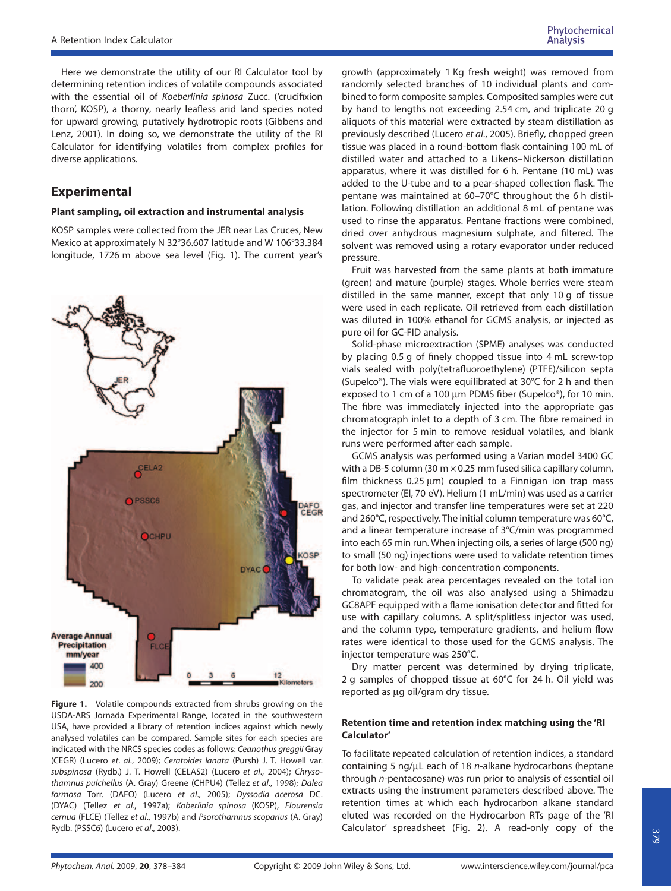Here we demonstrate the utility of our RI Calculator tool by determining retention indices of volatile compounds associated with the essential oil of Koeberlinia spinosa Zucc. ('crucifixion thorn', KOSP), a thorny, nearly leafless arid land species noted for upward growing, putatively hydrotropic roots (Gibbens and Lenz, 2001). In doing so, we demonstrate the utility of the RI Calculator for identifying volatiles from complex profiles for diverse applications.

# **Experimental**

#### **Plant sampling, oil extraction and instrumental analysis**

KOSP samples were collected from the JER near Las Cruces, New Mexico at approximately N 32°36.607 latitude and W 106°33.384 longitude, 1726 m above sea level (Fig. 1). The current year's



**Figure 1.** Volatile compounds extracted from shrubs growing on the USDA-ARS Jornada Experimental Range, located in the southwestern USA, have provided a library of retention indices against which newly analysed volatiles can be compared. Sample sites for each species are indicated with the NRCS species codes as follows: Ceanothus greggii Gray (CEGR) (Lucero et. al., 2009); Ceratoides lanata (Pursh) J. T. Howell var. subspinosa (Rydb.) J. T. Howell (CELAS2) (Lucero et al., 2004); Chrysothamnus pulchellus (A. Gray) Greene (CHPU4) (Tellez et al., 1998); Dalea formosa Torr. (DAFO) (Lucero et al., 2005); Dyssodia acerosa DC. (DYAC) (Tellez et al., 1997a); Koberlinia spinosa (KOSP), Flourensia cernua (FLCE) (Tellez et al., 1997b) and Psorothamnus scoparius (A. Gray) Rydb. (PSSC6) (Lucero et al., 2003).

growth (approximately 1 Kg fresh weight) was removed from randomly selected branches of 10 individual plants and combined to form composite samples. Composited samples were cut by hand to lengths not exceeding 2.54 cm, and triplicate 20 g aliquots of this material were extracted by steam distillation as previously described (Lucero et al., 2005). Briefly, chopped green tissue was placed in a round-bottom flask containing 100 mL of distilled water and attached to a Likens–Nickerson distillation apparatus, where it was distilled for 6 h. Pentane (10 mL) was added to the U-tube and to a pear-shaped collection flask. The pentane was maintained at 60–70°C throughout the 6 h distillation. Following distillation an additional 8 mL of pentane was used to rinse the apparatus. Pentane fractions were combined, dried over anhydrous magnesium sulphate, and filtered. The solvent was removed using a rotary evaporator under reduced pressure.

Fruit was harvested from the same plants at both immature (green) and mature (purple) stages. Whole berries were steam distilled in the same manner, except that only 10 g of tissue were used in each replicate. Oil retrieved from each distillation was diluted in 100% ethanol for GCMS analysis, or injected as pure oil for GC-FID analysis.

Solid-phase microextraction (SPME) analyses was conducted by placing 0.5 g of finely chopped tissue into 4 mL screw-top vials sealed with poly(tetrafluoroethylene) (PTFE)/silicon septa (Supelco®). The vials were equilibrated at 30°C for 2 h and then exposed to 1 cm of a 100 µm PDMS fiber (Supelco®), for 10 min. The fibre was immediately injected into the appropriate gas chromatograph inlet to a depth of 3 cm. The fibre remained in the injector for 5 min to remove residual volatiles, and blank runs were performed after each sample.

GCMS analysis was performed using a Varian model 3400 GC with a DB-5 column (30 m  $\times$  0.25 mm fused silica capillary column, film thickness 0.25 µm) coupled to a Finnigan ion trap mass spectrometer (EI, 70 eV). Helium (1 mL/min) was used as a carrier gas, and injector and transfer line temperatures were set at 220 and 260°C, respectively. The initial column temperature was 60°C, and a linear temperature increase of 3°C/min was programmed into each 65 min run. When injecting oils, a series of large (500 ng) to small (50 ng) injections were used to validate retention times for both low- and high-concentration components.

To validate peak area percentages revealed on the total ion chromatogram, the oil was also analysed using a Shimadzu GC8APF equipped with a flame ionisation detector and fitted for use with capillary columns. A split/splitless injector was used, and the column type, temperature gradients, and helium flow rates were identical to those used for the GCMS analysis. The injector temperature was 250°C.

Dry matter percent was determined by drying triplicate, 2 g samples of chopped tissue at 60°C for 24 h. Oil yield was reported as ug oil/gram dry tissue.

#### **Retention time and retention index matching using the 'RI Calculator'**

To facilitate repeated calculation of retention indices, a standard containing 5 ng/µL each of 18 n-alkane hydrocarbons (heptane through n-pentacosane) was run prior to analysis of essential oil extracts using the instrument parameters described above. The retention times at which each hydrocarbon alkane standard eluted was recorded on the Hydrocarbon RTs page of the 'RI Calculator' spreadsheet (Fig. 2). A read-only copy of the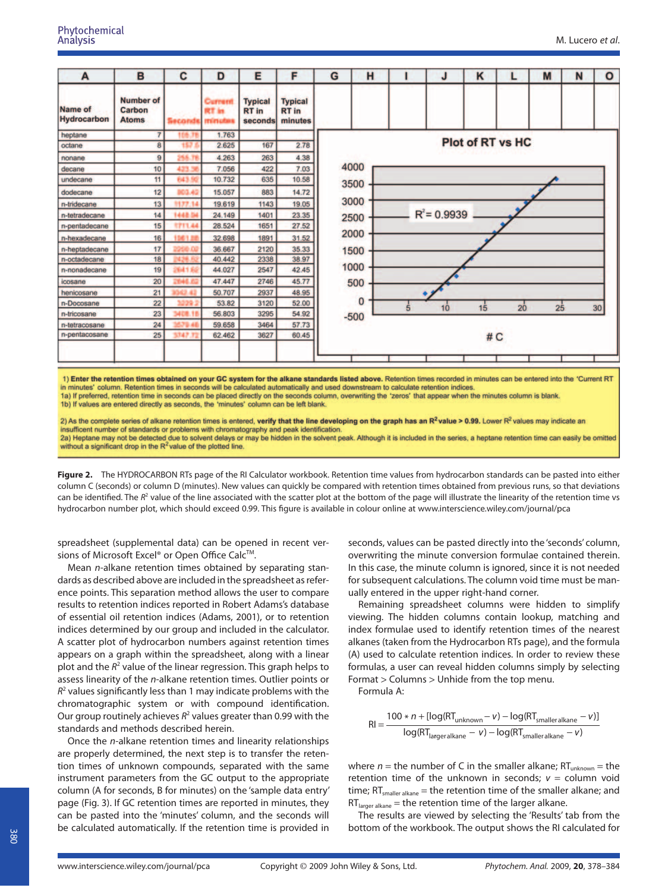| A                      | B                                   | C              | D                                 | Е                                  | F                                         | G | н        |   |                | ĸ                       |    | M  | N | $\circ$ |
|------------------------|-------------------------------------|----------------|-----------------------------------|------------------------------------|-------------------------------------------|---|----------|---|----------------|-------------------------|----|----|---|---------|
| Name of<br>Hydrocarbon | Number of<br>Carbon<br><b>Atoms</b> | iecond         | Current<br><b>RT</b> in<br>minuta | <b>Typical</b><br>RT in<br>seconds | <b>Typical</b><br><b>RT</b> in<br>minutes |   |          |   |                |                         |    |    |   |         |
| heptane                | $\overline{7}$                      | IDB.           | 1.763                             |                                    |                                           |   |          |   |                |                         |    |    |   |         |
| octane                 | 8                                   | 157            | 2.625                             | 167                                | 2.78                                      |   |          |   |                | <b>Plot of RT vs HC</b> |    |    |   |         |
| nonane                 | 9                                   | H.G.           | 4.263                             | 263                                | 4.38                                      |   |          |   |                |                         |    |    |   |         |
| decane                 | 10                                  | 43%            | 7.056                             | 422                                | 7.03                                      |   | 4000     |   |                |                         |    |    |   |         |
| undecane               | 11                                  | 643.           | 10.732                            | 635                                | 10.58                                     |   | 3500     |   |                |                         |    |    |   |         |
| dodecane               | 12                                  |                | 15.057                            | 883                                | 14.72                                     |   |          |   |                |                         |    |    |   |         |
| n-tridecane            | 13                                  | 1177.14        | 19.619                            | 1143                               | 19.05                                     |   | 3000     |   |                |                         |    |    |   |         |
| n-tetradecane          | 14                                  | 1448.          | 24.149                            | 1401                               | 23.35                                     |   | 2500     |   | $R^2 = 0.9939$ |                         |    |    |   |         |
| n-pentadecane          | 15                                  | <b>SPT1.44</b> | 28.524                            | 1651                               | 27.52                                     |   |          |   |                |                         |    |    |   |         |
| n-hexadecane           | 16                                  |                | 32.698                            | 1891                               | 31.52                                     |   | 2000     |   |                |                         |    |    |   |         |
| n-heptadecane          | 17                                  |                | 36.667                            | 2120                               | 35.33                                     |   | 1500     |   |                |                         |    |    |   |         |
| n-octadecane           | 18                                  |                | 40.442                            | 2338                               | 38.97                                     |   |          |   |                |                         |    |    |   |         |
| n-nonadecane           | 19                                  | <b>Wid 1 3</b> | 44.027                            | 2547                               | 42.45                                     |   | 1000     |   |                |                         |    |    |   |         |
| icosane                | 20                                  |                | 47.447                            | 2746                               | 45.77                                     |   | 500      |   |                |                         |    |    |   |         |
| henicosane             | 21                                  |                | 50.707                            | 2937                               | 48.95                                     |   |          |   |                |                         |    |    |   |         |
| n-Docosane             | 22                                  |                | 53.82                             | 3120                               | 52.00                                     |   | $\Omega$ | 5 | 10             | 15                      | 20 | 25 |   | 30      |
| n-tricosane            | 23                                  |                | 56,803                            | 3295                               | 54.92                                     |   | $-500$   |   |                |                         |    |    |   |         |
| n-tetracosane          | 24                                  |                | 59.658                            | 3464                               | 57.73                                     |   |          |   |                |                         |    |    |   |         |
| n-pentacosane          | 25                                  | 1747           | 62.462                            | 3627                               | 60.45                                     |   |          |   |                | #C                      |    |    |   |         |
|                        |                                     |                |                                   |                                    |                                           |   |          |   |                |                         |    |    |   |         |

1) Enter the retention times obtained on your GC system for the alkane standards listed above. Retention times recorded in minutes can be entered into the 'Current RT in minutes' column. Retention times in seconds will be calculated automatically and used downstream to calculate retention indices 1a) If preferred, retention time in seconds can be placed directly on the seconds column, overwriting the 'zeros' that appear when the minutes column is blank. 1b) If values are entered directly as seconds, the 'minutes' column can be left blank.

2) As the complete series of alkane retention times is entered, verify that the line developing on the graph has an R<sup>2</sup> value > 0.99. Lower R<sup>2</sup> values may indicate an insufficent number of standards or problems with chromatography and peak identification 2a) Heptane may not be detected due to solvent delays or may be hidden in the solvent peak. Although it is included in the series, a heptane retention time can easily be omitted without a significant drop in the  $R^2$  value of the plotted line.

**Figure 2.** The HYDROCARBON RTs page of the RI Calculator workbook. Retention time values from hydrocarbon standards can be pasted into either column C (seconds) or column D (minutes). New values can quickly be compared with retention times obtained from previous runs, so that deviations can be identified. The  $R^2$  value of the line associated with the scatter plot at the bottom of the page will illustrate the linearity of the retention time vs hydrocarbon number plot, which should exceed 0.99. This figure is available in colour online at www.interscience.wiley.com/journal/pca

spreadsheet (supplemental data) can be opened in recent versions of Microsoft Excel® or Open Office Calc<sup>™</sup>.

Mean *n*-alkane retention times obtained by separating standards as described above are included in the spreadsheet as reference points. This separation method allows the user to compare results to retention indices reported in Robert Adams's database of essential oil retention indices (Adams, 2001), or to retention indices determined by our group and included in the calculator. A scatter plot of hydrocarbon numbers against retention times appears on a graph within the spreadsheet, along with a linear plot and the  $R^2$  value of the linear regression. This graph helps to assess linearity of the n-alkane retention times. Outlier points or  $R<sup>2</sup>$  values significantly less than 1 may indicate problems with the chromatographic system or with compound identification. Our group routinely achieves  $R^2$  values greater than 0.99 with the standards and methods described herein.

Once the n-alkane retention times and linearity relationships are properly determined, the next step is to transfer the retention times of unknown compounds, separated with the same instrument parameters from the GC output to the appropriate column (A for seconds, B for minutes) on the 'sample data entry' page (Fig. 3). If GC retention times are reported in minutes, they can be pasted into the 'minutes' column, and the seconds will be calculated automatically. If the retention time is provided in seconds, values can be pasted directly into the 'seconds' column, overwriting the minute conversion formulae contained therein. In this case, the minute column is ignored, since it is not needed for subsequent calculations. The column void time must be manually entered in the upper right-hand corner.

Remaining spreadsheet columns were hidden to simplify viewing. The hidden columns contain lookup, matching and index formulae used to identify retention times of the nearest alkanes (taken from the Hydrocarbon RTs page), and the formula (A) used to calculate retention indices. In order to review these formulas, a user can reveal hidden columns simply by selecting Format > Columns > Unhide from the top menu.

Formula A:

$$
RI = \frac{100 * n + [log(RT_{unknown} - v) - log(RT_{smalleralkane} - v)]}{log(RT_{lageralkane} - v) - log(RT_{smalleralkane} - v)}
$$

where  $n =$  the number of C in the smaller alkane;  $RT_{unknown} =$  the retention time of the unknown in seconds;  $v =$  column void time;  $RT_{smaller\,alkane}$  = the retention time of the smaller alkane; and  $RT_{\text{larger alkane}} =$  the retention time of the larger alkane.

The results are viewed by selecting the 'Results' tab from the bottom of the workbook. The output shows the RI calculated for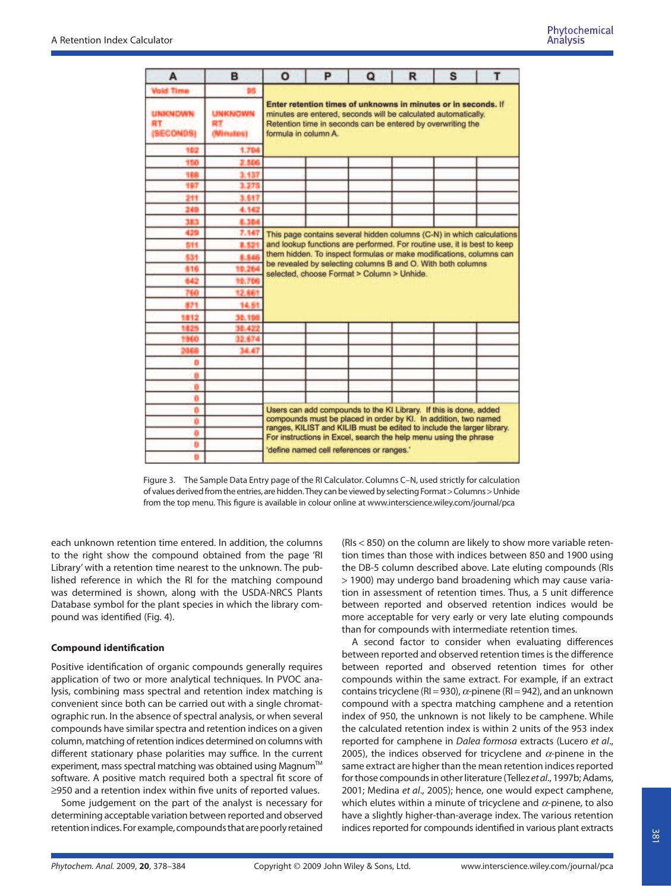| A                                 | в                                 | $\Omega$                                                                                                                                                                                                                                                                                                                        | P                                                                                                         | Q | R | s | т |  |  |  |  |  |
|-----------------------------------|-----------------------------------|---------------------------------------------------------------------------------------------------------------------------------------------------------------------------------------------------------------------------------------------------------------------------------------------------------------------------------|-----------------------------------------------------------------------------------------------------------|---|---|---|---|--|--|--|--|--|
| <b>Vold Time</b>                  |                                   |                                                                                                                                                                                                                                                                                                                                 |                                                                                                           |   |   |   |   |  |  |  |  |  |
| <b>UNKNOWN</b><br>RT<br>(SECONDS) | <b>UNKNOWN</b><br>RT<br>(Minutes) | Enter retention times of unknowns in minutes or in seconds. If<br>minutes are entered, seconds will be calculated automatically.<br>Retention time in seconds can be entered by overwriting the<br>formula in column A.                                                                                                         |                                                                                                           |   |   |   |   |  |  |  |  |  |
| 102                               | 1.704                             |                                                                                                                                                                                                                                                                                                                                 |                                                                                                           |   |   |   |   |  |  |  |  |  |
| 150                               | 2.506                             |                                                                                                                                                                                                                                                                                                                                 |                                                                                                           |   |   |   |   |  |  |  |  |  |
| 189                               | 3.137                             |                                                                                                                                                                                                                                                                                                                                 |                                                                                                           |   |   |   |   |  |  |  |  |  |
| 197                               | 1.275                             |                                                                                                                                                                                                                                                                                                                                 |                                                                                                           |   |   |   |   |  |  |  |  |  |
| 211                               | 3.517                             |                                                                                                                                                                                                                                                                                                                                 |                                                                                                           |   |   |   |   |  |  |  |  |  |
| 240                               | 4.142                             |                                                                                                                                                                                                                                                                                                                                 |                                                                                                           |   |   |   |   |  |  |  |  |  |
| נגנ                               | 6.384                             |                                                                                                                                                                                                                                                                                                                                 |                                                                                                           |   |   |   |   |  |  |  |  |  |
| 429                               | 7.147                             | This page contains several hidden columns (C-N) in which calculations<br>and lookup functions are performed. For routine use, it is best to keep<br>them hidden. To inspect formulas or make modifications, columns can                                                                                                         |                                                                                                           |   |   |   |   |  |  |  |  |  |
| 511                               | 8.52                              |                                                                                                                                                                                                                                                                                                                                 |                                                                                                           |   |   |   |   |  |  |  |  |  |
| 531                               | 8.54                              |                                                                                                                                                                                                                                                                                                                                 |                                                                                                           |   |   |   |   |  |  |  |  |  |
| 816                               |                                   |                                                                                                                                                                                                                                                                                                                                 | be revealed by selecting columns B and O. With both columns<br>selected, choose Format > Column > Unhide. |   |   |   |   |  |  |  |  |  |
| 642                               | 98.70                             |                                                                                                                                                                                                                                                                                                                                 |                                                                                                           |   |   |   |   |  |  |  |  |  |
| 760                               | 12,661                            |                                                                                                                                                                                                                                                                                                                                 |                                                                                                           |   |   |   |   |  |  |  |  |  |
| 831                               | 14.51                             |                                                                                                                                                                                                                                                                                                                                 |                                                                                                           |   |   |   |   |  |  |  |  |  |
| 1812                              | 30.198                            |                                                                                                                                                                                                                                                                                                                                 |                                                                                                           |   |   |   |   |  |  |  |  |  |
| 1825                              | 38.422                            |                                                                                                                                                                                                                                                                                                                                 |                                                                                                           |   |   |   |   |  |  |  |  |  |
| 1960                              | 32,674                            |                                                                                                                                                                                                                                                                                                                                 |                                                                                                           |   |   |   |   |  |  |  |  |  |
|                                   | 34.47                             |                                                                                                                                                                                                                                                                                                                                 |                                                                                                           |   |   |   |   |  |  |  |  |  |
| ٥                                 |                                   |                                                                                                                                                                                                                                                                                                                                 |                                                                                                           |   |   |   |   |  |  |  |  |  |
| ñ                                 |                                   |                                                                                                                                                                                                                                                                                                                                 |                                                                                                           |   |   |   |   |  |  |  |  |  |
| ō                                 |                                   |                                                                                                                                                                                                                                                                                                                                 |                                                                                                           |   |   |   |   |  |  |  |  |  |
| ö                                 |                                   |                                                                                                                                                                                                                                                                                                                                 |                                                                                                           |   |   |   |   |  |  |  |  |  |
| o                                 |                                   | Users can add compounds to the KI Library. If this is done, added<br>compounds must be placed in order by Kl. In addition, two named<br>ranges, KILIST and KILIB must be edited to include the larger library.<br>For instructions in Excel, search the help menu using the phrase<br>'define named cell references or ranges.' |                                                                                                           |   |   |   |   |  |  |  |  |  |
| Ö                                 |                                   |                                                                                                                                                                                                                                                                                                                                 |                                                                                                           |   |   |   |   |  |  |  |  |  |
| ٥                                 |                                   |                                                                                                                                                                                                                                                                                                                                 |                                                                                                           |   |   |   |   |  |  |  |  |  |
| Ð                                 |                                   |                                                                                                                                                                                                                                                                                                                                 |                                                                                                           |   |   |   |   |  |  |  |  |  |
| o                                 |                                   |                                                                                                                                                                                                                                                                                                                                 |                                                                                                           |   |   |   |   |  |  |  |  |  |

Figure 3. The Sample Data Entry page of the RI Calculator. Columns C–N, used strictly for calculation of values derived from the entries, are hidden. They can be viewed by selecting Format >Columns >Unhide from the top menu. This figure is available in colour online at www.interscience.wiley.com/journal/pca

each unknown retention time entered. In addition, the columns to the right show the compound obtained from the page 'RI Library' with a retention time nearest to the unknown. The published reference in which the RI for the matching compound was determined is shown, along with the USDA-NRCS Plants Database symbol for the plant species in which the library compound was identified (Fig. 4).

#### **Compound identification**

Positive identification of organic compounds generally requires application of two or more analytical techniques. In PVOC analysis, combining mass spectral and retention index matching is convenient since both can be carried out with a single chromatographic run. In the absence of spectral analysis, or when several compounds have similar spectra and retention indices on a given column, matching of retention indices determined on columns with different stationary phase polarities may suffice. In the current experiment, mass spectral matching was obtained using Magnum™ software. A positive match required both a spectral fit score of ≥950 and a retention index within five units of reported values.

Some judgement on the part of the analyst is necessary for determining acceptable variation between reported and observed retention indices. For example, compounds that are poorly retained (RIs < 850) on the column are likely to show more variable retention times than those with indices between 850 and 1900 using the DB-5 column described above. Late eluting compounds (RIs > 1900) may undergo band broadening which may cause variation in assessment of retention times. Thus, a 5 unit difference between reported and observed retention indices would be more acceptable for very early or very late eluting compounds than for compounds with intermediate retention times.

A second factor to consider when evaluating differences between reported and observed retention times is the difference between reported and observed retention times for other compounds within the same extract. For example, if an extract contains tricyclene (RI = 930),  $\alpha$ -pinene (RI = 942), and an unknown compound with a spectra matching camphene and a retention index of 950, the unknown is not likely to be camphene. While the calculated retention index is within 2 units of the 953 index reported for camphene in Dalea formosa extracts (Lucero et al., 2005), the indices observed for tricyclene and  $\alpha$ -pinene in the same extract are higher than the mean retention indices reported for those compounds in other literature (Tellez et al., 1997b; Adams, 2001; Medina et al., 2005); hence, one would expect camphene, which elutes within a minute of tricyclene and  $\alpha$ -pinene, to also have a slightly higher-than-average index. The various retention indices reported for compounds identified in various plant extracts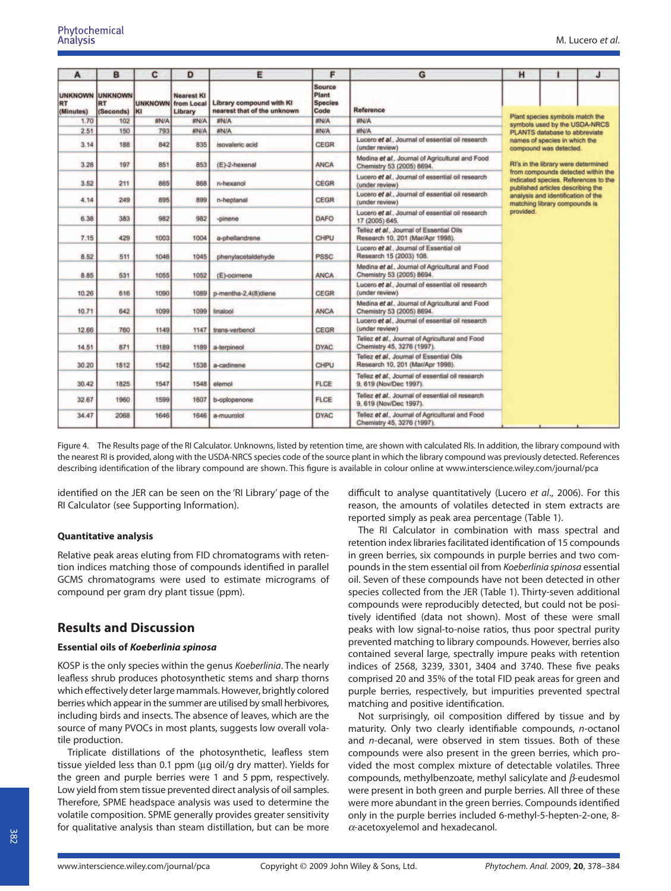| A                      | B                                                | C                           | D                                          | Е                                                       | F                                                | G                                                                             | H                                                                                                                                                      |                                                                  | J |  |  |
|------------------------|--------------------------------------------------|-----------------------------|--------------------------------------------|---------------------------------------------------------|--------------------------------------------------|-------------------------------------------------------------------------------|--------------------------------------------------------------------------------------------------------------------------------------------------------|------------------------------------------------------------------|---|--|--|
| <b>RT</b><br>(Minutes) | <b>UNKNOWN UNKNOWN</b><br><b>RT</b><br>(Seconds) | <b>UNKNOWN</b><br><b>KI</b> | <b>Nearest KI</b><br>from Local<br>Library | Library compound with KI<br>nearest that of the unknown | <b>Source</b><br>Plant<br><b>Species</b><br>Code | <b>Reference</b>                                                              |                                                                                                                                                        |                                                                  |   |  |  |
| 1.70                   | 102                                              | #N/A                        | #N/A                                       | #N/A                                                    | <b>#N/A</b>                                      | #N/A                                                                          |                                                                                                                                                        | Plant species symbols match the<br>symbols used by the USDA-NRCS |   |  |  |
| 2.51                   | 150                                              | 793                         | #N/A                                       | #N/A                                                    | #N/A                                             | #N/A                                                                          |                                                                                                                                                        | PLANTS database to abbreviate                                    |   |  |  |
| 3.14                   | 188                                              | 842                         | 835                                        | isovaleric acid                                         | <b>CEGR</b>                                      | Lucero et al., Journal of essential oil research<br>(under review)            |                                                                                                                                                        | names of species in which the<br>compound was detected.          |   |  |  |
| 3.28                   | 197                                              | 851                         | 853                                        | (E)-2-hexenal                                           | <b>ANCA</b>                                      | Medina et al., Journal of Agricultural and Food<br>Chemistry 53 (2005) 8694.  | RI's in the library were determined<br>from compounds detected within the<br>indicated species. References to the<br>published articles describing the |                                                                  |   |  |  |
| 3.52                   | 211                                              | 865                         | 868                                        | n-hexanol                                               | CEGR                                             | Lucero et al., Journal of essential oil research<br>(under review)            |                                                                                                                                                        |                                                                  |   |  |  |
| 4.14                   | 249                                              | 895                         | 899                                        | n-heptanal                                              | <b>CEGR</b>                                      | Lucero et al., Journal of essential oil research<br>(under review)            | analysis and identification of the<br>matching library compounds is                                                                                    |                                                                  |   |  |  |
| 6.38                   | 383                                              | 982                         | 982                                        | -pinene                                                 | <b>DAFO</b>                                      | Lucero et al., Journal of essential oil research<br>17 (2005) 645.            | provided.                                                                                                                                              |                                                                  |   |  |  |
| 7.15                   | 429                                              | 1003                        | 1004                                       | a-phellandrene                                          | <b>CHPU</b>                                      | Tellez et al., Journal of Essential Oils<br>Research 10, 201 (Mar/Apr 1998).  |                                                                                                                                                        |                                                                  |   |  |  |
| 8.52                   | 511                                              | 1046                        | 1045                                       | phenylacetaldehyde                                      | <b>PSSC</b>                                      | Lucero et al., Journal of Essential oil<br>Research 15 (2003) 108.            |                                                                                                                                                        |                                                                  |   |  |  |
| 8.85                   | 531                                              | 1055                        | 1052                                       | (E)-ocimene                                             | <b>ANCA</b>                                      | Medina et al., Journal of Agricultural and Food<br>Chemistry 53 (2005) 8694.  |                                                                                                                                                        |                                                                  |   |  |  |
| 10.26                  | 616                                              | 1090                        | 1089                                       | p-mentha-2,4(8)diene                                    | <b>CEGR</b>                                      | Lucero et al., Journal of essential oil research<br>(under review)            |                                                                                                                                                        |                                                                  |   |  |  |
| 10.71                  | 642                                              | 1099                        | 1099                                       | linalool                                                | <b>ANCA</b>                                      | Medina et al., Journal of Agricultural and Food<br>Chemistry 53 (2005) 8694.  |                                                                                                                                                        |                                                                  |   |  |  |
| 12.66                  | 760                                              | 1149                        | 1147                                       | trans-verbenol                                          | <b>CEGR</b>                                      | Lucero et al., Journal of essential oil research<br>(under review)            |                                                                                                                                                        |                                                                  |   |  |  |
| 14.51                  | 871                                              | 1189                        | 1189                                       | a-terpineol                                             | <b>DYAC</b>                                      | Tellez et al., Journal of Agricultural and Food<br>Chemistry 45, 3276 (1997). |                                                                                                                                                        |                                                                  |   |  |  |
| 30.20                  | 1812                                             | 1542                        | 1538                                       | a-cadinene                                              | <b>CHPU</b>                                      | Tellez et al., Journal of Essential Oils<br>Research 10, 201 (Mar/Apr 1998).  |                                                                                                                                                        |                                                                  |   |  |  |
| 30.42                  | 1825                                             | 1547                        | 1548                                       | elemol                                                  | <b>FLCE</b>                                      | Tellez et al., Journal of essential oil research<br>9, 619 (Nov/Dec 1997).    |                                                                                                                                                        |                                                                  |   |  |  |
| 32.67                  | 1960                                             | 1599                        | 1607                                       | b-oplopenone                                            | <b>FLCE</b>                                      | Tellez et al., Journal of essential oil research<br>9, 619 (Nov/Dec 1997).    |                                                                                                                                                        |                                                                  |   |  |  |
| 34.47                  | 2068                                             | 1646                        | 1646                                       | a-muurolol                                              | <b>DYAC</b>                                      | Tellez et al., Journal of Agricultural and Food<br>Chemistry 45, 3276 (1997). |                                                                                                                                                        |                                                                  |   |  |  |

Figure 4. The Results page of the RI Calculator. Unknowns, listed by retention time, are shown with calculated RIs. In addition, the library compound with the nearest RI is provided, along with the USDA-NRCS species code of the source plant in which the library compound was previously detected. References describing identification of the library compound are shown. This figure is available in colour online at www.interscience.wiley.com/journal/pca

identified on the JER can be seen on the 'RI Library' page of the RI Calculator (see Supporting Information).

#### **Quantitative analysis**

Relative peak areas eluting from FID chromatograms with retention indices matching those of compounds identified in parallel GCMS chromatograms were used to estimate micrograms of compound per gram dry plant tissue (ppm).

# **Results and Discussion**

#### **Essential oils of** *Koeberlinia spinosa*

KOSP is the only species within the genus Koeberlinia. The nearly leafless shrub produces photosynthetic stems and sharp thorns which effectively deter large mammals. However, brightly colored berries which appear in the summer are utilised by small herbivores, including birds and insects. The absence of leaves, which are the source of many PVOCs in most plants, suggests low overall volatile production.

Triplicate distillations of the photosynthetic, leafless stem tissue yielded less than 0.1 ppm (µg oil/g dry matter). Yields for the green and purple berries were 1 and 5 ppm, respectively. Low yield from stem tissue prevented direct analysis of oil samples. Therefore, SPME headspace analysis was used to determine the volatile composition. SPME generally provides greater sensitivity for qualitative analysis than steam distillation, but can be more difficult to analyse quantitatively (Lucero et al., 2006). For this reason, the amounts of volatiles detected in stem extracts are reported simply as peak area percentage (Table 1).

The RI Calculator in combination with mass spectral and retention index libraries facilitated identification of 15 compounds in green berries, six compounds in purple berries and two compounds in the stem essential oil from Koeberlinia spinosa essential oil. Seven of these compounds have not been detected in other species collected from the JER (Table 1). Thirty-seven additional compounds were reproducibly detected, but could not be positively identified (data not shown). Most of these were small peaks with low signal-to-noise ratios, thus poor spectral purity prevented matching to library compounds. However, berries also contained several large, spectrally impure peaks with retention indices of 2568, 3239, 3301, 3404 and 3740. These five peaks comprised 20 and 35% of the total FID peak areas for green and purple berries, respectively, but impurities prevented spectral matching and positive identification.

Not surprisingly, oil composition differed by tissue and by maturity. Only two clearly identifiable compounds, n-octanol and n-decanal, were observed in stem tissues. Both of these compounds were also present in the green berries, which provided the most complex mixture of detectable volatiles. Three compounds, methylbenzoate, methyl salicylate and *b*-eudesmol were present in both green and purple berries. All three of these were more abundant in the green berries. Compounds identified only in the purple berries included 6-methyl-5-hepten-2-one, 8 *a*-acetoxyelemol and hexadecanol.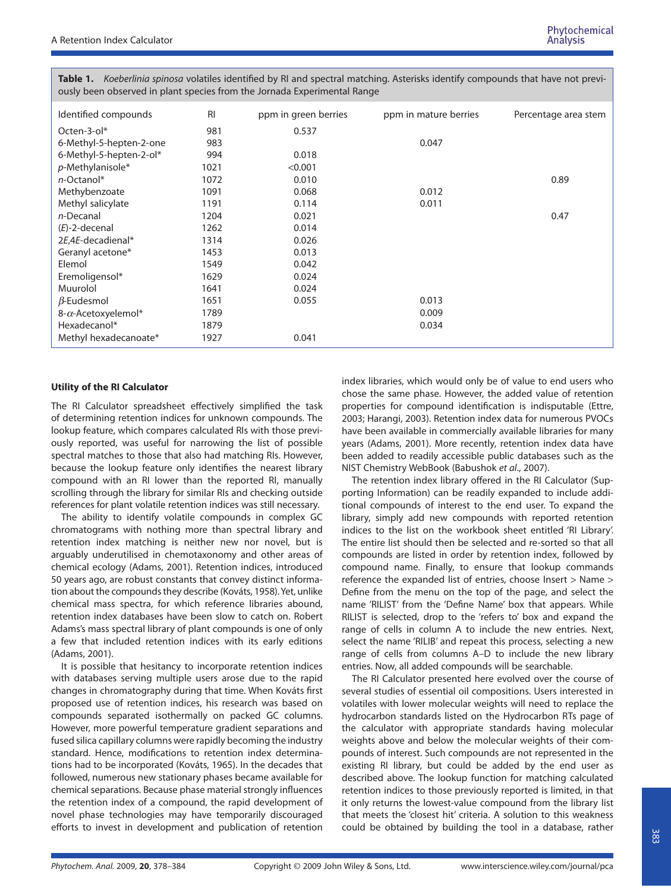**Table 1.** Koeberlinia spinosa volatiles identified by RI and spectral matching. Asterisks identify compounds that have not previously been observed in plant species from the Jornada Experimental Range

| Identified compounds    | R <sub>l</sub> | ppm in green berries | ppm in mature berries | Percentage area stem |
|-------------------------|----------------|----------------------|-----------------------|----------------------|
| Octen-3-ol $*$          | 981            | 0.537                |                       |                      |
| 6-Methyl-5-hepten-2-one | 983            |                      | 0.047                 |                      |
| 6-Methyl-5-hepten-2-ol* | 994            | 0.018                |                       |                      |
| p-Methylanisole*        | 1021           | < 0.001              |                       |                      |
| n-Octanol*              | 1072           | 0.010                |                       | 0.89                 |
| Methybenzoate           | 1091           | 0.068                | 0.012                 |                      |
| Methyl salicylate       | 1191           | 0.114                | 0.011                 |                      |
| n-Decanal               | 1204           | 0.021                |                       | 0.47                 |
| $(E)$ -2-decenal        | 1262           | 0.014                |                       |                      |
| 2E.4E-decadienal*       | 1314           | 0.026                |                       |                      |
| Geranyl acetone*        | 1453           | 0.013                |                       |                      |
| Elemol                  | 1549           | 0.042                |                       |                      |
| Eremoligensol*          | 1629           | 0.024                |                       |                      |
| Muurolol                | 1641           | 0.024                |                       |                      |
| $\beta$ -Eudesmol       | 1651           | 0.055                | 0.013                 |                      |
| 8-a-Acetoxyelemol*      | 1789           |                      | 0.009                 |                      |
| Hexadecanol*            | 1879           |                      | 0.034                 |                      |
| Methyl hexadecanoate*   | 1927           | 0.041                |                       |                      |

#### **Utility of the RI Calculator**

The RI Calculator spreadsheet effectively simplified the task of determining retention indices for unknown compounds. The lookup feature, which compares calculated RIs with those previously reported, was useful for narrowing the list of possible spectral matches to those that also had matching RIs. However, because the lookup feature only identifies the nearest library compound with an RI lower than the reported RI, manually scrolling through the library for similar RIs and checking outside references for plant volatile retention indices was still necessary.

The ability to identify volatile compounds in complex GC chromatograms with nothing more than spectral library and retention index matching is neither new nor novel, but is arguably underutilised in chemotaxonomy and other areas of chemical ecology (Adams, 2001). Retention indices, introduced 50 years ago, are robust constants that convey distinct information about the compounds they describe (Kováts, 1958). Yet, unlike chemical mass spectra, for which reference libraries abound, retention index databases have been slow to catch on. Robert Adams's mass spectral library of plant compounds is one of only a few that included retention indices with its early editions (Adams, 2001).

It is possible that hesitancy to incorporate retention indices with databases serving multiple users arose due to the rapid changes in chromatography during that time. When Kováts first proposed use of retention indices, his research was based on compounds separated isothermally on packed GC columns. However, more powerful temperature gradient separations and fused silica capillary columns were rapidly becoming the industry standard. Hence, modifications to retention index determinations had to be incorporated (Kováts, 1965). In the decades that followed, numerous new stationary phases became available for chemical separations. Because phase material strongly influences the retention index of a compound, the rapid development of novel phase technologies may have temporarily discouraged efforts to invest in development and publication of retention

index libraries, which would only be of value to end users who chose the same phase. However, the added value of retention properties for compound identification is indisputable (Ettre, 2003; Harangi, 2003). Retention index data for numerous PVOCs have been available in commercially available libraries for many years (Adams, 2001). More recently, retention index data have been added to readily accessible public databases such as the NIST Chemistry WebBook (Babushok et al., 2007).

The retention index library offered in the RI Calculator (Supporting Information) can be readily expanded to include additional compounds of interest to the end user. To expand the library, simply add new compounds with reported retention indices to the list on the workbook sheet entitled 'RI Library'. The entire list should then be selected and re-sorted so that all compounds are listed in order by retention index, followed by compound name. Finally, to ensure that lookup commands reference the expanded list of entries, choose Insert > Name > Define from the menu on the top of the page, and select the name 'RILIST' from the 'Define Name' box that appears. While RILIST is selected, drop to the 'refers to' box and expand the range of cells in column A to include the new entries. Next, select the name 'RILIB' and repeat this process, selecting a new range of cells from columns A–D to include the new library entries. Now, all added compounds will be searchable.

The RI Calculator presented here evolved over the course of several studies of essential oil compositions. Users interested in volatiles with lower molecular weights will need to replace the hydrocarbon standards listed on the Hydrocarbon RTs page of the calculator with appropriate standards having molecular weights above and below the molecular weights of their compounds of interest. Such compounds are not represented in the existing RI library, but could be added by the end user as described above. The lookup function for matching calculated retention indices to those previously reported is limited, in that it only returns the lowest-value compound from the library list that meets the 'closest hit' criteria. A solution to this weakness could be obtained by building the tool in a database, rather